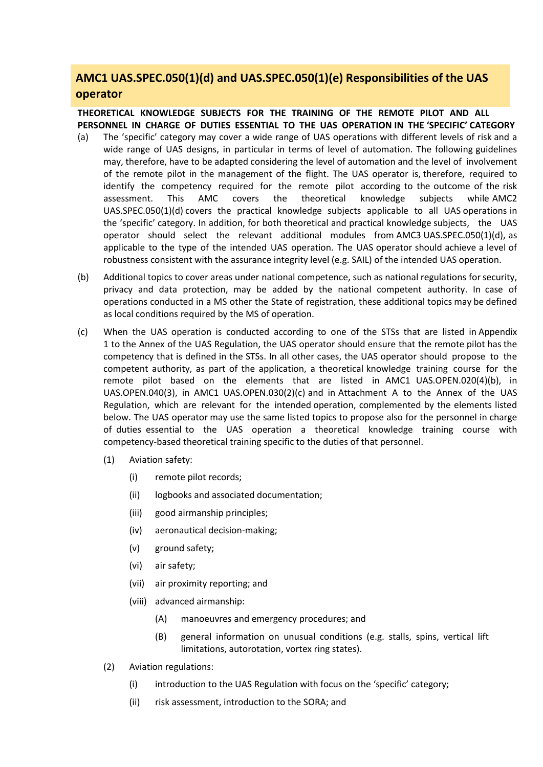## **AMC1 UAS.SPEC.050(1)(d) and UAS.SPEC.050(1)(e) Responsibilities of the UAS operator**

## **THEORETICAL KNOWLEDGE SUBJECTS FOR THE TRAINING OF THE REMOTE PILOT AND ALL PERSONNEL IN CHARGE OF DUTIES ESSENTIAL TO THE UAS OPERATION IN THE 'SPECIFIC' CATEGORY**

- (a) The 'specific' category may cover a wide range of UAS operations with different levels of risk and a wide range of UAS designs, in particular in terms of level of automation. The following guidelines may, therefore, have to be adapted considering the level of automation and the level of involvement of the remote pilot in the management of the flight. The UAS operator is, therefore, required to identify the competency required for the remote pilot according to the outcome of the risk assessment. This AMC covers the theoretical knowledge subjects while AMC2 UAS.SPEC.050(1)(d) covers the practical knowledge subjects applicable to all UAS operations in the 'specific' category. In addition, for both theoretical and practical knowledge subjects, the UAS operator should select the relevant additional modules from AMC3 UAS.SPEC.050(1)(d), as applicable to the type of the intended UAS operation. The UAS operator should achieve a level of robustness consistent with the assurance integrity level (e.g. SAIL) of the intended UAS operation.
- (b) Additional topics to cover areas under national competence, such as national regulations for security, privacy and data protection, may be added by the national competent authority. In case of operations conducted in a MS other the State of registration, these additional topics may be defined as local conditions required by the MS of operation.
- (c) When the UAS operation is conducted according to one of the STSs that are listed in Appendix 1 to the Annex of the UAS Regulation, the UAS operator should ensure that the remote pilot has the competency that is defined in the STSs. In all other cases, the UAS operator should propose to the competent authority, as part of the application, a theoretical knowledge training course for the remote pilot based on the elements that are listed in AMC1 UAS.OPEN.020(4)(b), in UAS.OPEN.040(3), in AMC1 UAS.OPEN.030(2)(c) and in Attachment A to the Annex of the UAS Regulation, which are relevant for the intended operation, complemented by the elements listed below. The UAS operator may use the same listed topics to propose also for the personnel in charge of duties essential to the UAS operation a theoretical knowledge training course with competency-based theoretical training specific to the duties of that personnel.
	- (1) Aviation safety:
		- (i) remote pilot records;
		- (ii) logbooks and associated documentation;
		- (iii) good airmanship principles;
		- (iv) aeronautical decision-making;
		- (v) ground safety;
		- (vi) air safety;
		- (vii) air proximity reporting; and
		- (viii) advanced airmanship:
			- (A) manoeuvres and emergency procedures; and
			- (B) general information on unusual conditions (e.g. stalls, spins, vertical lift limitations, autorotation, vortex ring states).
	- (2) Aviation regulations:
		- (i) introduction to the UAS Regulation with focus on the 'specific' category;
		- (ii) risk assessment, introduction to the SORA; and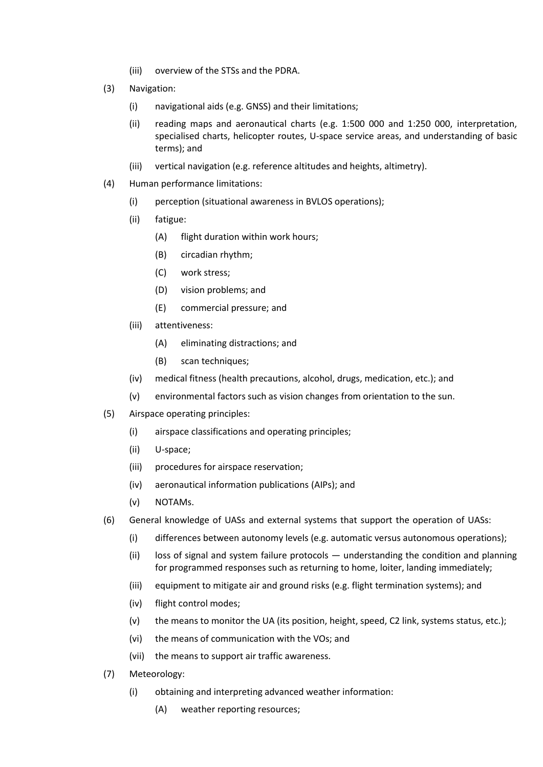- (iii) overview of the STSs and the PDRA.
- (3) Navigation:
	- (i) navigational aids (e.g. GNSS) and their limitations;
	- (ii) reading maps and aeronautical charts (e.g. 1:500 000 and 1:250 000, interpretation, specialised charts, helicopter routes, U-space service areas, and understanding of basic terms); and
	- (iii) vertical navigation (e.g. reference altitudes and heights, altimetry).
- (4) Human performance limitations:
	- (i) perception (situational awareness in BVLOS operations);
	- (ii) fatigue:
		- (A) flight duration within work hours;
		- (B) circadian rhythm;
		- (C) work stress;
		- (D) vision problems; and
		- (E) commercial pressure; and
	- (iii) attentiveness:
		- (A) eliminating distractions; and
		- (B) scan techniques;
	- (iv) medical fitness (health precautions, alcohol, drugs, medication, etc.); and
	- (v) environmental factors such as vision changes from orientation to the sun.
- (5) Airspace operating principles:
	- (i) airspace classifications and operating principles;
	- (ii) U-space;
	- (iii) procedures for airspace reservation;
	- (iv) aeronautical information publications (AIPs); and
	- (v) NOTAMs.
- (6) General knowledge of UASs and external systems that support the operation of UASs:
	- (i) differences between autonomy levels (e.g. automatic versus autonomous operations);
	- (ii) loss of signal and system failure protocols  $-$  understanding the condition and planning for programmed responses such as returning to home, loiter, landing immediately;
	- (iii) equipment to mitigate air and ground risks (e.g. flight termination systems); and
	- (iv) flight control modes;
	- (v) the means to monitor the UA (its position, height, speed, C2 link, systems status, etc.);
	- (vi) the means of communication with the VOs; and
	- (vii) the means to support air traffic awareness.
- (7) Meteorology:
	- (i) obtaining and interpreting advanced weather information:
		- (A) weather reporting resources;